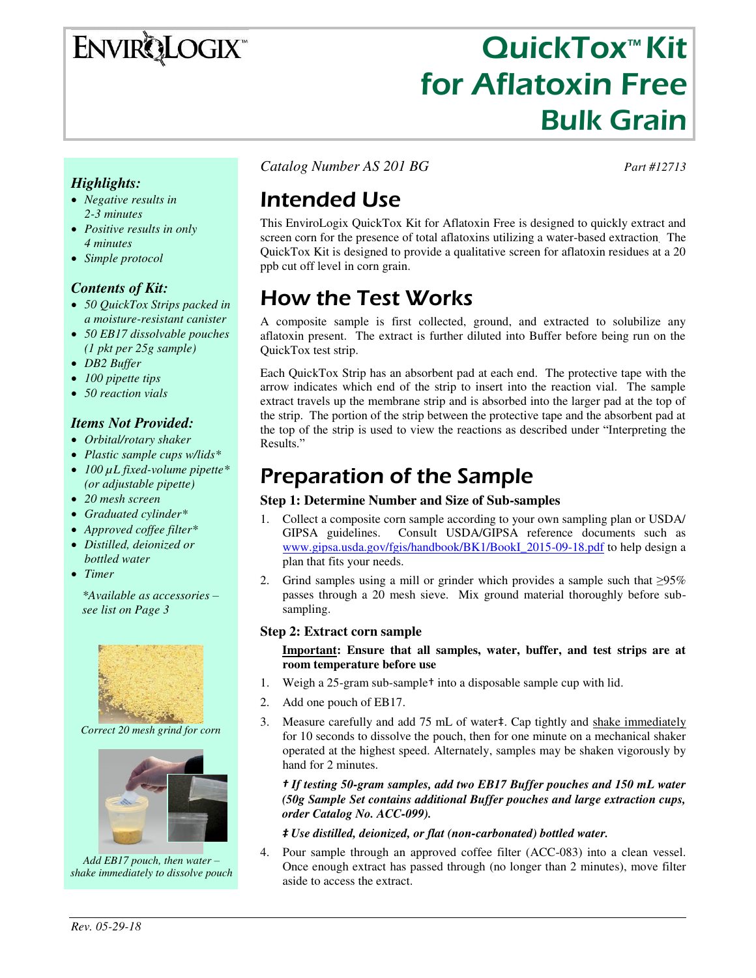# **ENVIRQLOGIX**

# QuickTox™ Kit for Aflatoxin Free Bulk Grain

*Highlights:* 

- *Negative results in 2-3 minutes*
- *Positive results in only 4 minutes*
- *Simple protocol*

#### *Contents of Kit:*

- *50 QuickTox Strips packed in a moisture-resistant canister*
- *50 EB17 dissolvable pouches (1 pkt per 25g sample)*
- *DB2 Buffer*
- *100 pipette tips*
- *50 reaction vials*

#### *Items Not Provided:*

- *Orbital/rotary shaker*
- *Plastic sample cups w/lids\**
- *100 µL fixed-volume pipette\* (or adjustable pipette)*
- *20 mesh screen*
- *Graduated cylinder\**
- *Approved coffee filter\**
- *Distilled, deionized or bottled water*
- *Timer*

*\*Available as accessories – see list on Page 3* 



*Correct 20 mesh grind for corn* 



*Add EB17 pouch, then water – shake immediately to dissolve pouch* 

*Catalog Number AS 201 BG Part #12713*

# Intended Use

This EnviroLogix QuickTox Kit for Aflatoxin Free is designed to quickly extract and screen corn for the presence of total aflatoxins utilizing a water-based extraction. The QuickTox Kit is designed to provide a qualitative screen for aflatoxin residues at a 20 ppb cut off level in corn grain.

## How the Test Works

A composite sample is first collected, ground, and extracted to solubilize any aflatoxin present. The extract is further diluted into Buffer before being run on the QuickTox test strip.

Each QuickTox Strip has an absorbent pad at each end. The protective tape with the arrow indicates which end of the strip to insert into the reaction vial. The sample extract travels up the membrane strip and is absorbed into the larger pad at the top of the strip. The portion of the strip between the protective tape and the absorbent pad at the top of the strip is used to view the reactions as described under "Interpreting the Results."

### Preparation of the Sample

#### **Step 1: Determine Number and Size of Sub-samples**

- 1. Collect a composite corn sample according to your own sampling plan or USDA/ GIPSA guidelines. Consult USDA/GIPSA reference documents such as [www.gipsa.usda.gov/fgis/handbook/BK1/BookI\\_2015-09-18.pdf](http://www.gipsa.usda.gov/fgis/handbook/BK1/BookI_2015-09-18.pdf) to help design a plan that fits your needs.
- 2. Grind samples using a mill or grinder which provides a sample such that  $\geq 95\%$ passes through a 20 mesh sieve. Mix ground material thoroughly before subsampling.

#### **Step 2: Extract corn sample**

#### **Important: Ensure that all samples, water, buffer, and test strips are at room temperature before use**

- 1. Weigh a 25-gram sub-sample† into a disposable sample cup with lid.
- 2. Add one pouch of EB17.
- 3. Measure carefully and add 75 mL of water‡. Cap tightly and shake immediately for 10 seconds to dissolve the pouch, then for one minute on a mechanical shaker operated at the highest speed. Alternately, samples may be shaken vigorously by hand for 2 minutes.

#### *† If testing 50-gram samples, add two EB17 Buffer pouches and 150 mL water (50g Sample Set contains additional Buffer pouches and large extraction cups, order Catalog No. ACC-099).*

#### *‡ Use distilled, deionized, or flat (non-carbonated) bottled water.*

4. Pour sample through an approved coffee filter (ACC-083) into a clean vessel. Once enough extract has passed through (no longer than 2 minutes), move filter aside to access the extract.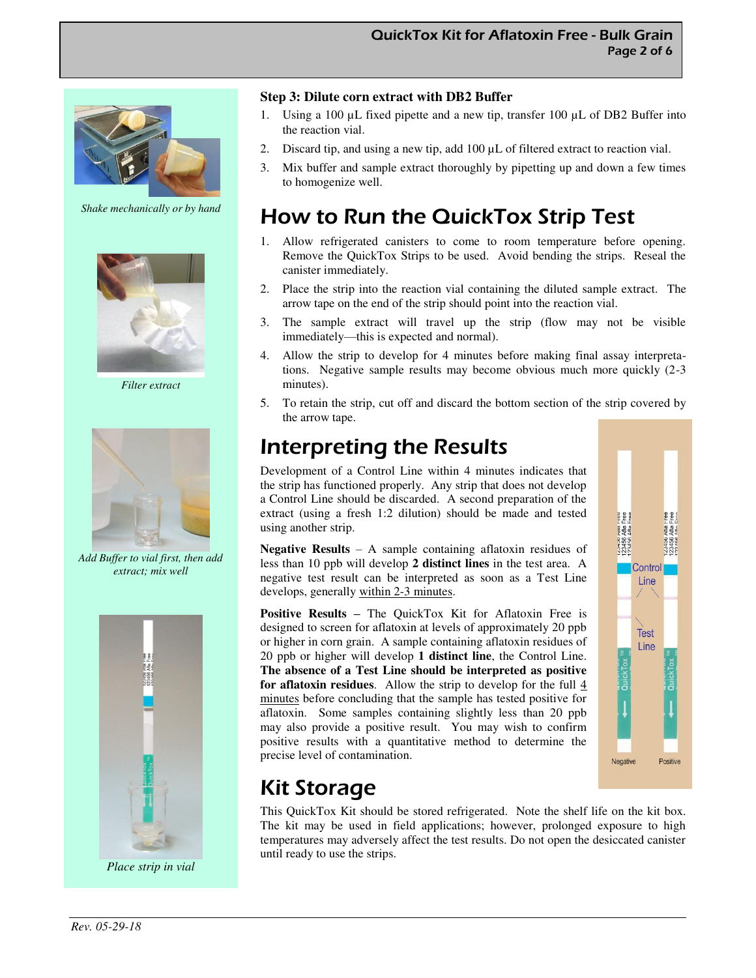

*Shake mechanically or by hand* 



*Filter extract* 



*Add Buffer to vial first, then add extract; mix well* 



*Place strip in vial* 

#### **Step 3: Dilute corn extract with DB2 Buffer**

- 1. Using a 100 µL fixed pipette and a new tip, transfer 100 µL of DB2 Buffer into the reaction vial.
- 2. Discard tip, and using a new tip, add 100  $\mu$ L of filtered extract to reaction vial.
- 3. Mix buffer and sample extract thoroughly by pipetting up and down a few times to homogenize well.

### How to Run the QuickTox Strip Test

- 1. Allow refrigerated canisters to come to room temperature before opening. Remove the QuickTox Strips to be used. Avoid bending the strips. Reseal the canister immediately.
- 2. Place the strip into the reaction vial containing the diluted sample extract. The arrow tape on the end of the strip should point into the reaction vial.
- 3. The sample extract will travel up the strip (flow may not be visible immediately—this is expected and normal).
- 4. Allow the strip to develop for 4 minutes before making final assay interpretations. Negative sample results may become obvious much more quickly (2-3 minutes).
- 5. To retain the strip, cut off and discard the bottom section of the strip covered by the arrow tape.

### Interpreting the Results

Development of a Control Line within 4 minutes indicates that the strip has functioned properly. Any strip that does not develop a Control Line should be discarded. A second preparation of the extract (using a fresh 1:2 dilution) should be made and tested using another strip.

**Negative Results** – A sample containing aflatoxin residues of less than 10 ppb will develop **2 distinct lines** in the test area. A negative test result can be interpreted as soon as a Test Line develops, generally within 2-3 minutes.

**Positive Results –** The QuickTox Kit for Aflatoxin Free is designed to screen for aflatoxin at levels of approximately 20 ppb or higher in corn grain. A sample containing aflatoxin residues of 20 ppb or higher will develop **1 distinct line**, the Control Line. **The absence of a Test Line should be interpreted as positive for aflatoxin residues**. Allow the strip to develop for the full  $\frac{4}{5}$ minutes before concluding that the sample has tested positive for aflatoxin. Some samples containing slightly less than 20 ppb may also provide a positive result. You may wish to confirm positive results with a quantitative method to determine the precise level of contamination.



### Kit Storage

This QuickTox Kit should be stored refrigerated. Note the shelf life on the kit box. The kit may be used in field applications; however, prolonged exposure to high temperatures may adversely affect the test results. Do not open the desiccated canister until ready to use the strips.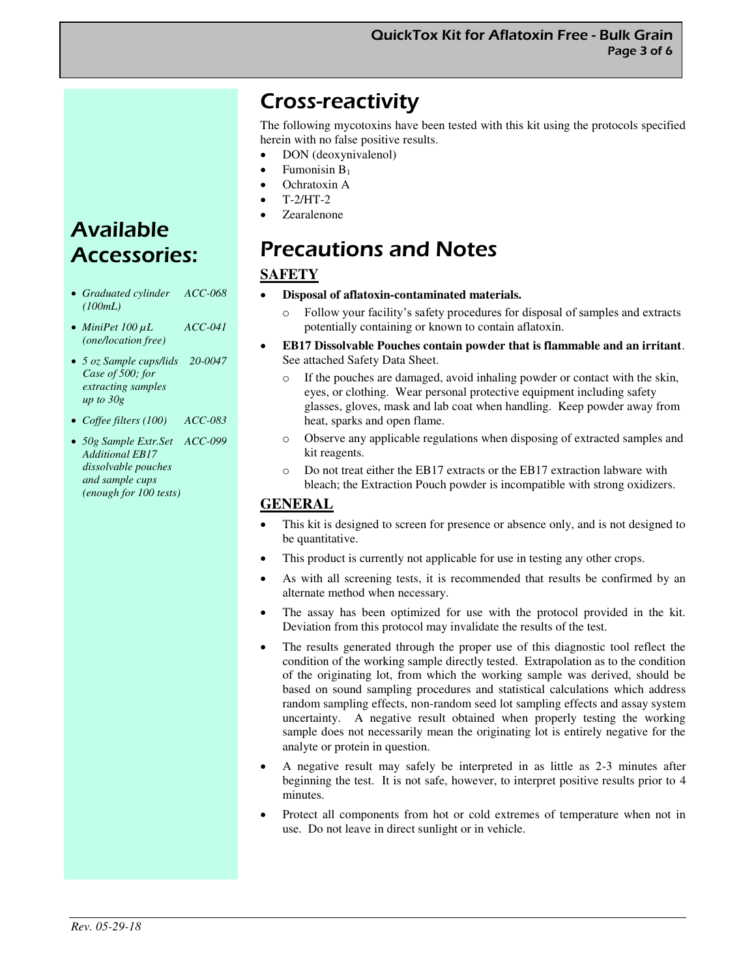### Cross-reactivity

The following mycotoxins have been tested with this kit using the protocols specified herein with no false positive results.

- DON (deoxynivalenol)
- Fumonisin B<sup>1</sup>
- Ochratoxin A
- T-2/HT-2
- Zearalenone

## Precautions and Notes

### **SAFETY**

- **Disposal of aflatoxin-contaminated materials.**
	- o Follow your facility's safety procedures for disposal of samples and extracts potentially containing or known to contain aflatoxin.
- **EB17 Dissolvable Pouches contain powder that is flammable and an irritant**. See attached Safety Data Sheet.
	- o If the pouches are damaged, avoid inhaling powder or contact with the skin, eyes, or clothing. Wear personal protective equipment including safety glasses, gloves, mask and lab coat when handling. Keep powder away from heat, sparks and open flame.
	- o Observe any applicable regulations when disposing of extracted samples and kit reagents.
	- o Do not treat either the EB17 extracts or the EB17 extraction labware with bleach; the Extraction Pouch powder is incompatible with strong oxidizers.

#### **GENERAL**

- This kit is designed to screen for presence or absence only, and is not designed to be quantitative.
- This product is currently not applicable for use in testing any other crops.
- As with all screening tests, it is recommended that results be confirmed by an alternate method when necessary.
- The assay has been optimized for use with the protocol provided in the kit. Deviation from this protocol may invalidate the results of the test.
- The results generated through the proper use of this diagnostic tool reflect the condition of the working sample directly tested. Extrapolation as to the condition of the originating lot, from which the working sample was derived, should be based on sound sampling procedures and statistical calculations which address random sampling effects, non-random seed lot sampling effects and assay system uncertainty. A negative result obtained when properly testing the working sample does not necessarily mean the originating lot is entirely negative for the analyte or protein in question.
- A negative result may safely be interpreted in as little as 2-3 minutes after beginning the test. It is not safe, however, to interpret positive results prior to 4 minutes.
- Protect all components from hot or cold extremes of temperature when not in use. Do not leave in direct sunlight or in vehicle.

# Available Accessories:

- *Graduated cylinder ACC-068 (100mL)*
- *MiniPet 100 µL ACC-041 (one/location free)*
- *5 oz Sample cups/lids 20-0047 Case of 500; for extracting samples up to 30g*
- *Coffee filters (100) ACC-083*
- *50g Sample Extr.Set ACC-099 Additional EB17 dissolvable pouches and sample cups (enough for 100 tests)*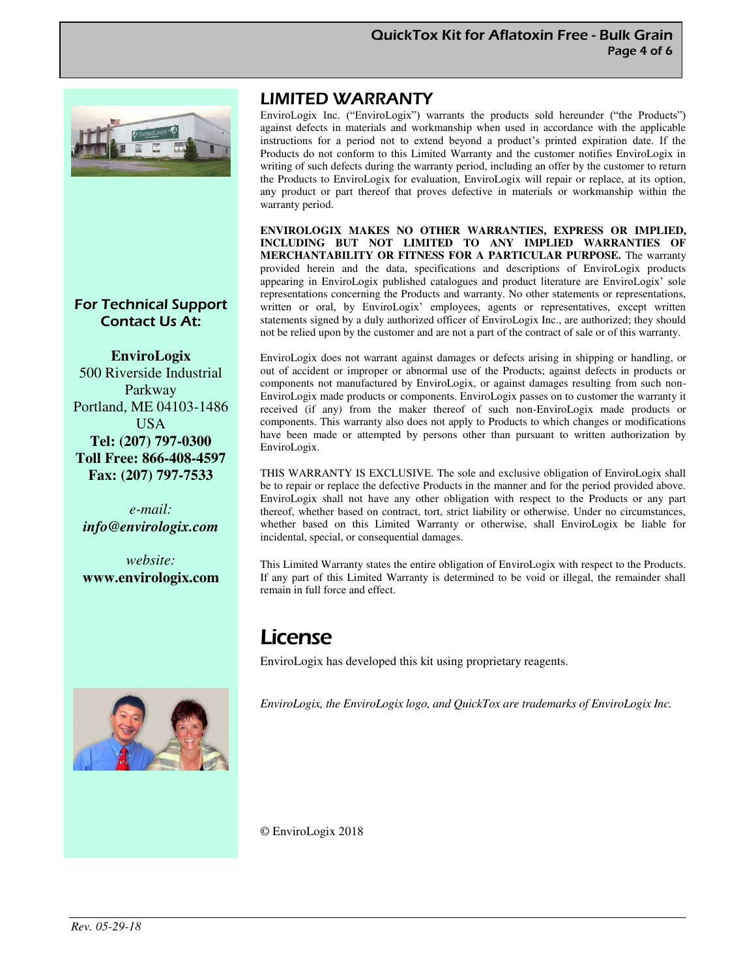

#### For Technical Support Contact Us At:

**EnviroLogix**  500 Riverside Industrial Parkway Portland, ME 04103-1486 USA **Tel: (207) 797-0300 Toll Free: 866-408-4597 Fax: (207) 797-7533** 

*e-mail: info@envirologix.com*

*website:*  **www.envirologix.com** 



### LIMITED WARRANTY

EnviroLogix Inc. ("EnviroLogix") warrants the products sold hereunder ("the Products") against defects in materials and workmanship when used in accordance with the applicable instructions for a period not to extend beyond a product's printed expiration date. If the Products do not conform to this Limited Warranty and the customer notifies EnviroLogix in writing of such defects during the warranty period, including an offer by the customer to return the Products to EnviroLogix for evaluation, EnviroLogix will repair or replace, at its option, any product or part thereof that proves defective in materials or workmanship within the warranty period.

**ENVIROLOGIX MAKES NO OTHER WARRANTIES, EXPRESS OR IMPLIED, INCLUDING BUT NOT LIMITED TO ANY IMPLIED WARRANTIES OF MERCHANTABILITY OR FITNESS FOR A PARTICULAR PURPOSE.** The warranty provided herein and the data, specifications and descriptions of EnviroLogix products appearing in EnviroLogix published catalogues and product literature are EnviroLogix' sole representations concerning the Products and warranty. No other statements or representations, written or oral, by EnviroLogix' employees, agents or representatives, except written statements signed by a duly authorized officer of EnviroLogix Inc., are authorized; they should not be relied upon by the customer and are not a part of the contract of sale or of this warranty.

EnviroLogix does not warrant against damages or defects arising in shipping or handling, or out of accident or improper or abnormal use of the Products; against defects in products or components not manufactured by EnviroLogix, or against damages resulting from such non-EnviroLogix made products or components. EnviroLogix passes on to customer the warranty it received (if any) from the maker thereof of such non-EnviroLogix made products or components. This warranty also does not apply to Products to which changes or modifications have been made or attempted by persons other than pursuant to written authorization by EnviroLogix.

THIS WARRANTY IS EXCLUSIVE. The sole and exclusive obligation of EnviroLogix shall be to repair or replace the defective Products in the manner and for the period provided above. EnviroLogix shall not have any other obligation with respect to the Products or any part thereof, whether based on contract, tort, strict liability or otherwise. Under no circumstances, whether based on this Limited Warranty or otherwise, shall EnviroLogix be liable for incidental, special, or consequential damages.

This Limited Warranty states the entire obligation of EnviroLogix with respect to the Products. If any part of this Limited Warranty is determined to be void or illegal, the remainder shall remain in full force and effect.

### License

EnviroLogix has developed this kit using proprietary reagents.

*EnviroLogix, the EnviroLogix logo, and QuickTox are trademarks of EnviroLogix Inc.* 

© EnviroLogix 2018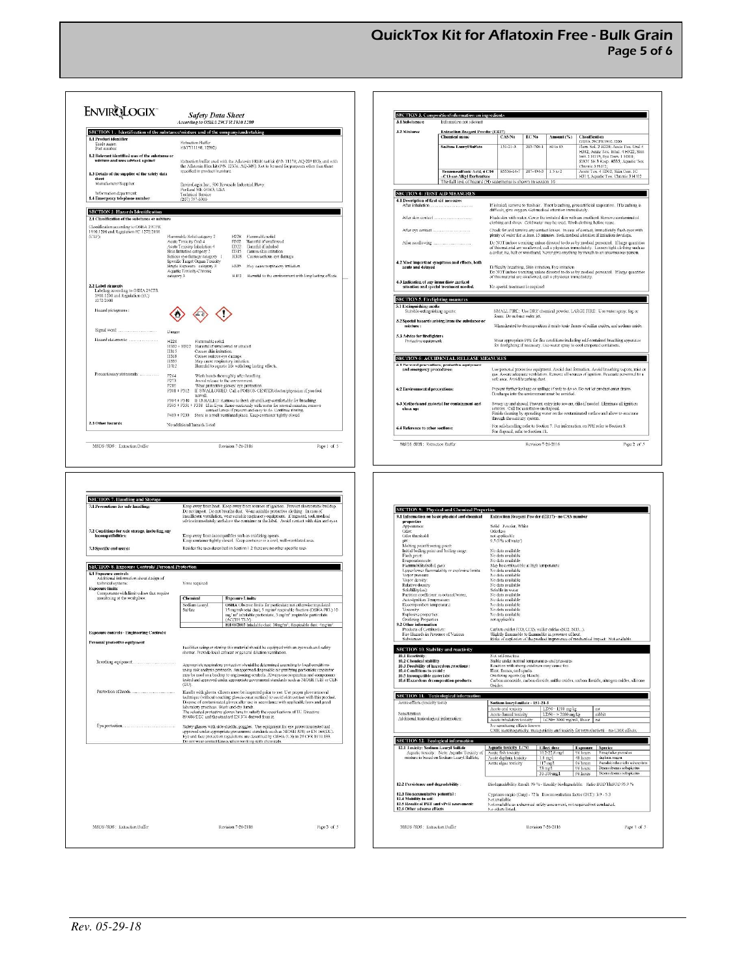

*Rev. 05-29-18*